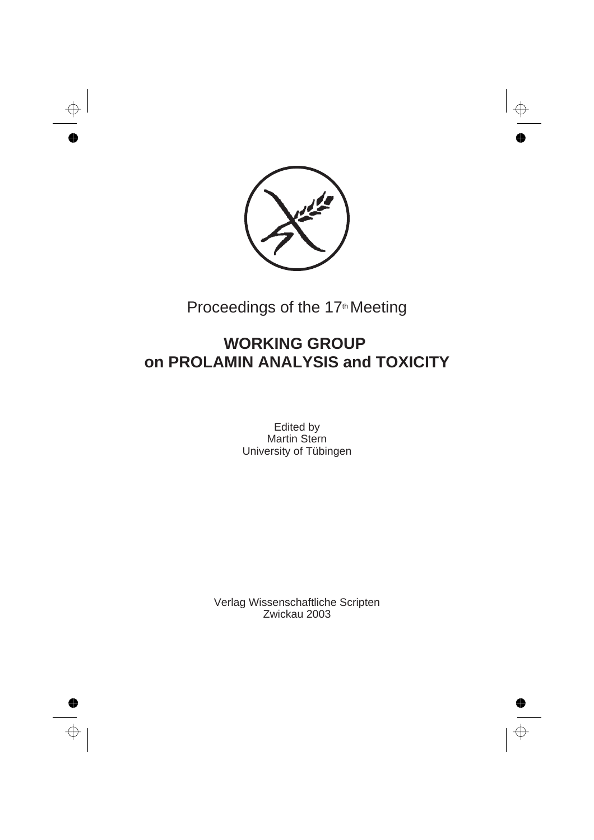

# Proceedings of the 17<sup>th</sup> Meeting

# **WORKING GROUP on PROLAMIN ANALYSIS and TOXICITY**

Edited by Martin Stern University of Tübingen

Verlag Wissenschaftliche Scripten Zwickau 2003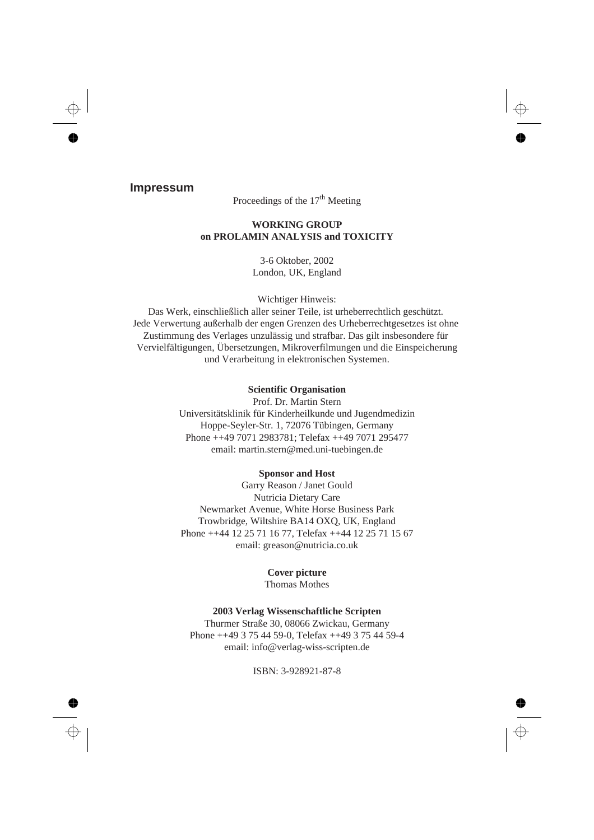### **Impressum**

Proceedings of the  $17<sup>th</sup>$  Meeting

### **WORKING GROUP on PROLAMIN ANALYSIS and TOXICITY**

3-6 Oktober, 2002 London, UK, England

Wichtiger Hinweis:

Das Werk, einschließlich aller seiner Teile, ist urheberrechtlich geschützt. Jede Verwertung außerhalb der engen Grenzen des Urheberrechtgesetzes ist ohne Zustimmung des Verlages unzulässig und strafbar. Das gilt insbesondere für Vervielfältigungen, Übersetzungen, Mikroverfilmungen und die Einspeicherung und Verarbeitung in elektronischen Systemen.

### **Scientific Organisation**

Prof. Dr. Martin Stern Universitätsklinik für Kinderheilkunde und Jugendmedizin Hoppe-Seyler-Str. 1, 72076 Tübingen, Germany Phone ++49 7071 2983781; Telefax ++49 7071 295477 email: martin.stern@med.uni-tuebingen.de

#### **Sponsor and Host**

Garry Reason / Janet Gould Nutricia Dietary Care Newmarket Avenue, White Horse Business Park Trowbridge, Wiltshire BA14 OXQ, UK, England Phone ++44 12 25 71 16 77, Telefax ++44 12 25 71 15 67 email: greason@nutricia.co.uk

#### **Cover picture**

Thomas Mothes

#### **2003 Verlag Wissenschaftliche Scripten**

Thurmer Straße 30, 08066 Zwickau, Germany Phone ++49 3 75 44 59-0, Telefax ++49 3 75 44 59-4 email: info@verlag-wiss-scripten.de

ISBN: 3-928921-87-8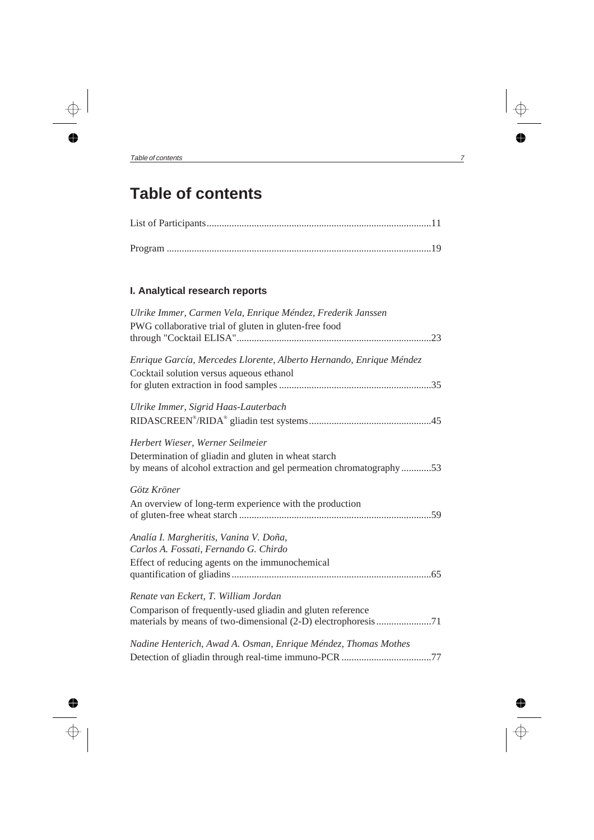# **Table of contents**

## **I. Analytical research reports**

| Ulrike Immer, Carmen Vela, Enrique Méndez, Frederik Janssen         |  |
|---------------------------------------------------------------------|--|
| PWG collaborative trial of gluten in gluten-free food               |  |
|                                                                     |  |
| Enrique García, Mercedes Llorente, Alberto Hernando, Enrique Méndez |  |
| Cocktail solution versus aqueous ethanol                            |  |
|                                                                     |  |
| Ulrike Immer, Sigrid Haas-Lauterbach                                |  |
|                                                                     |  |
| Herbert Wieser, Werner Seilmeier                                    |  |
| Determination of gliadin and gluten in wheat starch                 |  |
| by means of alcohol extraction and gel permeation chromatography53  |  |
| Götz Kröner                                                         |  |
| An overview of long-term experience with the production             |  |
|                                                                     |  |
| Analía I. Margheritis, Vanina V. Doña,                              |  |
| Carlos A. Fossati, Fernando G. Chirdo                               |  |
| Effect of reducing agents on the immunochemical                     |  |
|                                                                     |  |
| Renate van Eckert, T. William Jordan                                |  |
| Comparison of frequently-used gliadin and gluten reference          |  |
| materials by means of two-dimensional (2-D) electrophoresis 71      |  |
| Nadine Henterich, Awad A. Osman, Enrique Méndez, Thomas Mothes      |  |
|                                                                     |  |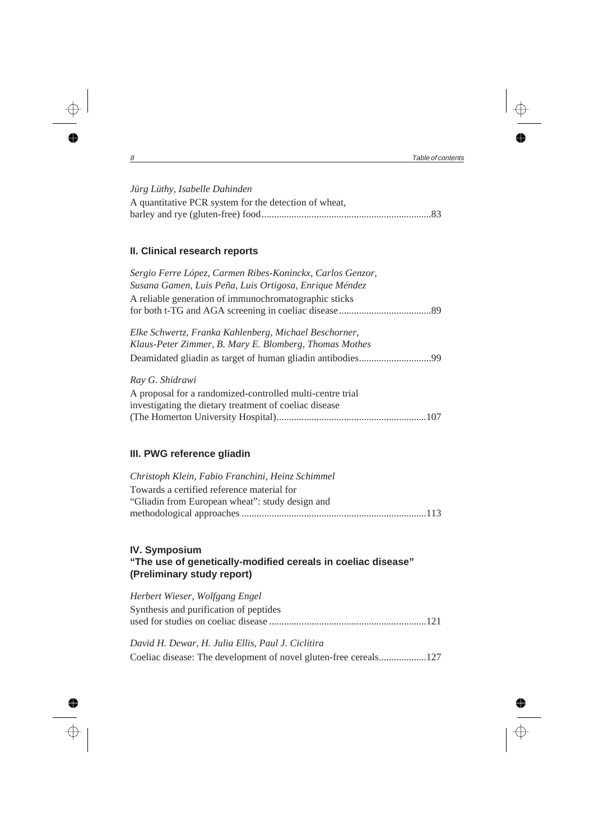### *Jürg Lüthy, Isabelle Dahinden*

| A quantitative PCR system for the detection of wheat, |  |
|-------------------------------------------------------|--|
|                                                       |  |

## **II. Clinical research reports**

| Sergio Ferre López, Carmen Ribes-Koninckx, Carlos Genzor,<br>Susana Gamen, Luis Peña, Luis Ortigosa, Enrique Méndez |
|---------------------------------------------------------------------------------------------------------------------|
| A reliable generation of immunochromatographic sticks                                                               |
| Elke Schwertz, Franka Kahlenberg, Michael Beschorner,<br>Klaus-Peter Zimmer, B. Mary E. Blomberg, Thomas Mothes     |
|                                                                                                                     |
| Ray G. Shidrawi                                                                                                     |
| A proposal for a randomized-controlled multi-centre trial<br>investigating the dietary treatment of coeliac disease |
|                                                                                                                     |

## **III. PWG reference gliadin**

| Christoph Klein, Fabio Franchini, Heinz Schimmel |  |
|--------------------------------------------------|--|
| Towards a certified reference material for       |  |
| "Gliadin from European wheat": study design and  |  |
|                                                  |  |

## **IV. Symposium "The use of genetically-modified cereals in coeliac disease" (Preliminary study report)**

| Herbert Wieser, Wolfgang Engel                    |
|---------------------------------------------------|
| Synthesis and purification of peptides            |
|                                                   |
| David H. Dewar, H. Julia Ellis, Paul J. Ciclitira |

Coeliac disease: The development of novel gluten-free cereals...................127